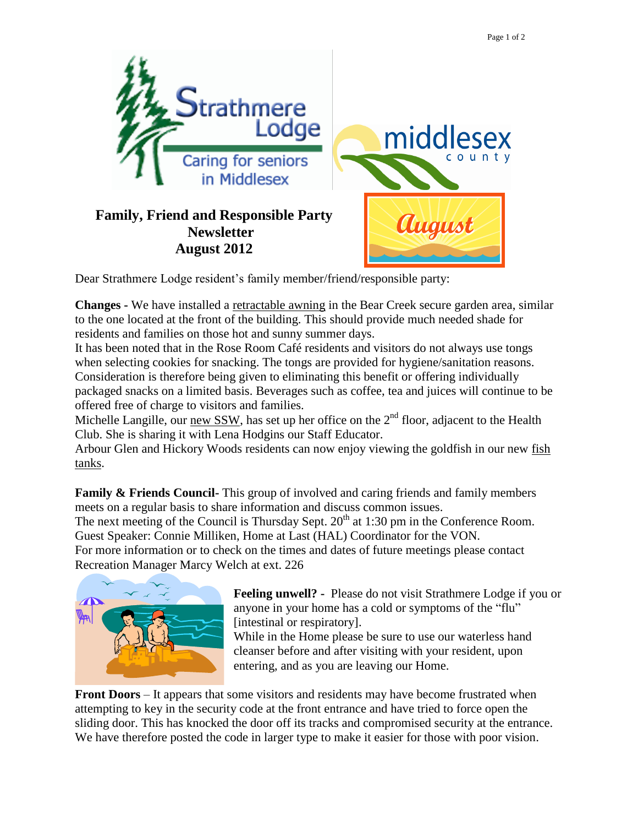

Dear Strathmere Lodge resident's family member/friend/responsible party:

**Changes -** We have installed a retractable awning in the Bear Creek secure garden area, similar to the one located at the front of the building. This should provide much needed shade for residents and families on those hot and sunny summer days.

It has been noted that in the Rose Room Café residents and visitors do not always use tongs when selecting cookies for snacking. The tongs are provided for hygiene/sanitation reasons. Consideration is therefore being given to eliminating this benefit or offering individually packaged snacks on a limited basis. Beverages such as coffee, tea and juices will continue to be offered free of charge to visitors and families.

Michelle Langille, our new SSW, has set up her office on the  $2<sup>nd</sup>$  floor, adjacent to the Health Club. She is sharing it with Lena Hodgins our Staff Educator.

Arbour Glen and Hickory Woods residents can now enjoy viewing the goldfish in our new fish tanks.

**Family & Friends Council-** This group of involved and caring friends and family members meets on a regular basis to share information and discuss common issues.

The next meeting of the Council is Thursday Sept.  $20<sup>th</sup>$  at 1:30 pm in the Conference Room. Guest Speaker: Connie Milliken, Home at Last (HAL) Coordinator for the VON. For more information or to check on the times and dates of future meetings please contact Recreation Manager Marcy Welch at ext. 226



**Feeling unwell? -** Please do not visit Strathmere Lodge if you or anyone in your home has a cold or symptoms of the "flu" [intestinal or respiratory].

While in the Home please be sure to use our waterless hand cleanser before and after visiting with your resident, upon entering, and as you are leaving our Home.

**Front Doors** – It appears that some visitors and residents may have become frustrated when attempting to key in the security code at the front entrance and have tried to force open the sliding door. This has knocked the door off its tracks and compromised security at the entrance. We have therefore posted the code in larger type to make it easier for those with poor vision.